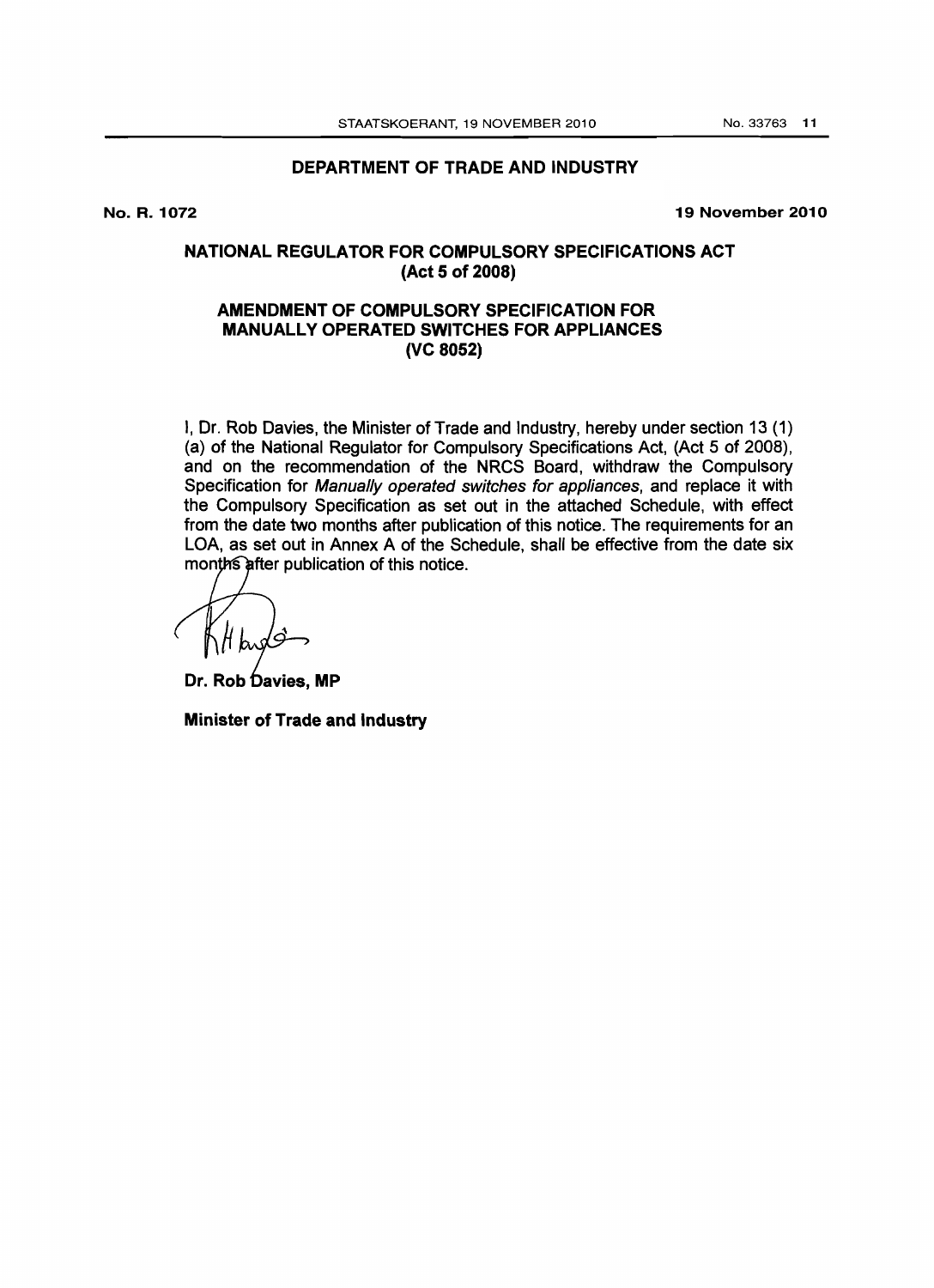#### DEPARTMENT OF TRADE AND INDUSTRY

No. R. 1072

19 November 2010

## NATIONAL REGULATOR FOR COMPULSORY SPECIFICATIONS ACT (Act 5 of 2008)

## AMENDMENT OF COMPULSORY SPECIFICATION FOR MANUALLY OPERATED SWITCHES FOR APPLIANCES (VC 8052)

I, Dr. Rob Davies, the Minister of Trade and Industry, hereby under section 13 (1) (a) of the National Regulator for Compulsory Specifications Act, (Act 5 of 2008), and on the recommendation of the NRCS Board, withdraw the Compulsory Specification for Manually operated switches for appliances, and replace it with the Compulsory Specification as set out in the attached Schedule, with effect from the date two months after publication of this notice. The requirements for an LOA, as set out in Annex A of the Schedule, shall be effective from the date six month after publication of this notice.

Dr. Rob Davies, MP

Minister of Trade and Industry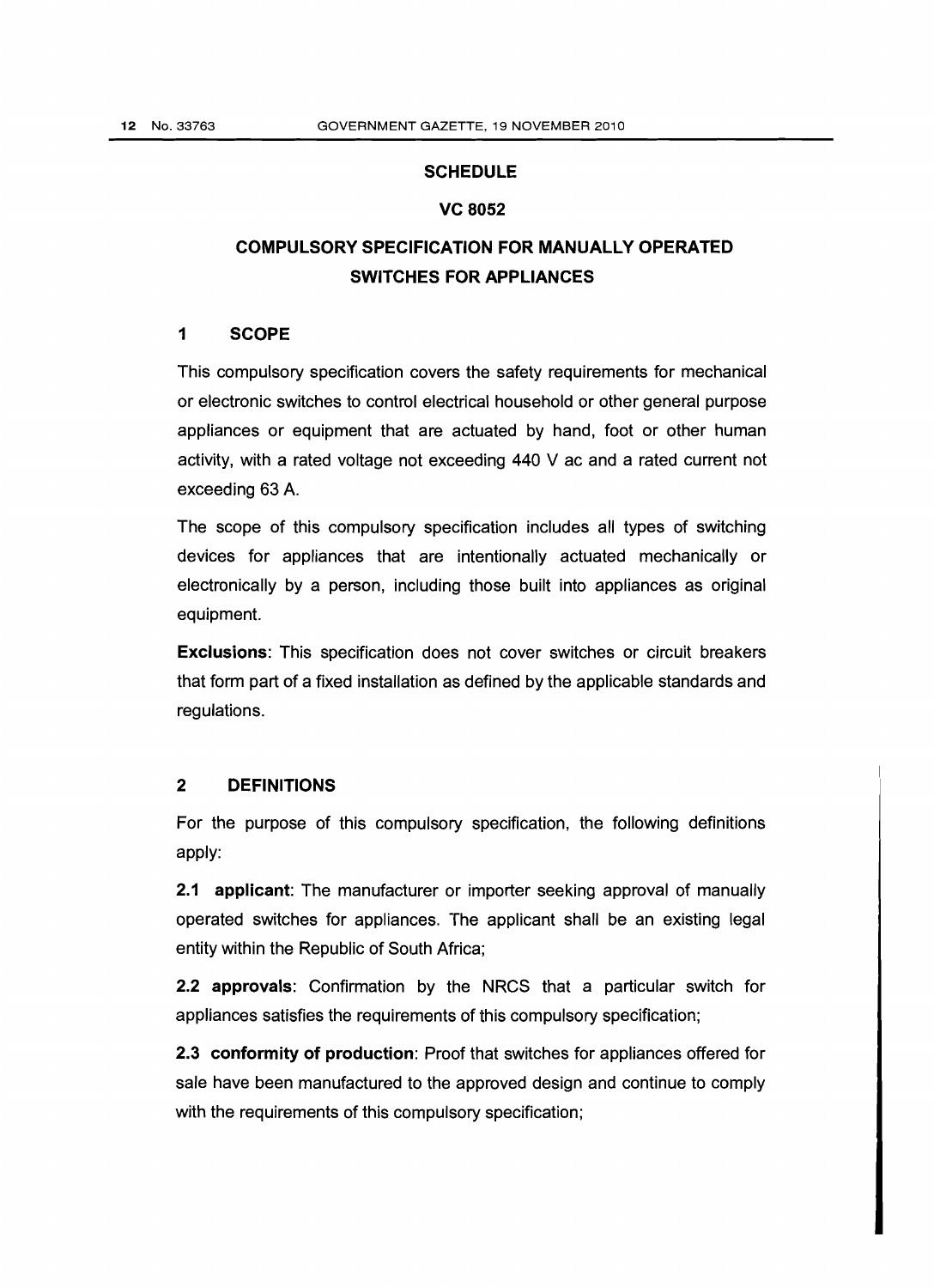#### **SCHEDULE**

#### VC 8052

## COMPULSORY SPECIFICATION FOR MANUALLY OPERATED SWITCHES FOR APPLIANCES

## 1 SCOPE

This compulsory specification covers the safety requirements for mechanical or electronic switches to control electrical household or other general purpose appliances or equipment that are actuated by hand, foot or other human activity, with a rated voltage not exceeding 440 V ac and a rated current not exceeding 63 A.

The scope of this compulsory specification includes all types of switching devices for appliances that are intentionally actuated mechanically or electronically by a person, including those built into appliances as original equipment.

Exclusions: This specification does not cover switches or circuit breakers that form part of a fixed installation as defined by the applicable standards and regulations.

#### 2 DEFINITIONS

For the purpose of this compulsory specification, the following definitions apply:

2.1 applicant: The manufacturer or importer seeking approval of manually operated switches for appliances. The applicant shall be an existing legal entity within the Republic of South Africa;

2.2 approvals: Confirmation by the NRCS that a particular switch for appliances satisfies the requirements of this compulsory specification;

2.3 conformity of production: Proof that switches for appliances offered for sale have been manufactured to the approved design and continue to comply with the requirements of this compulsory specification;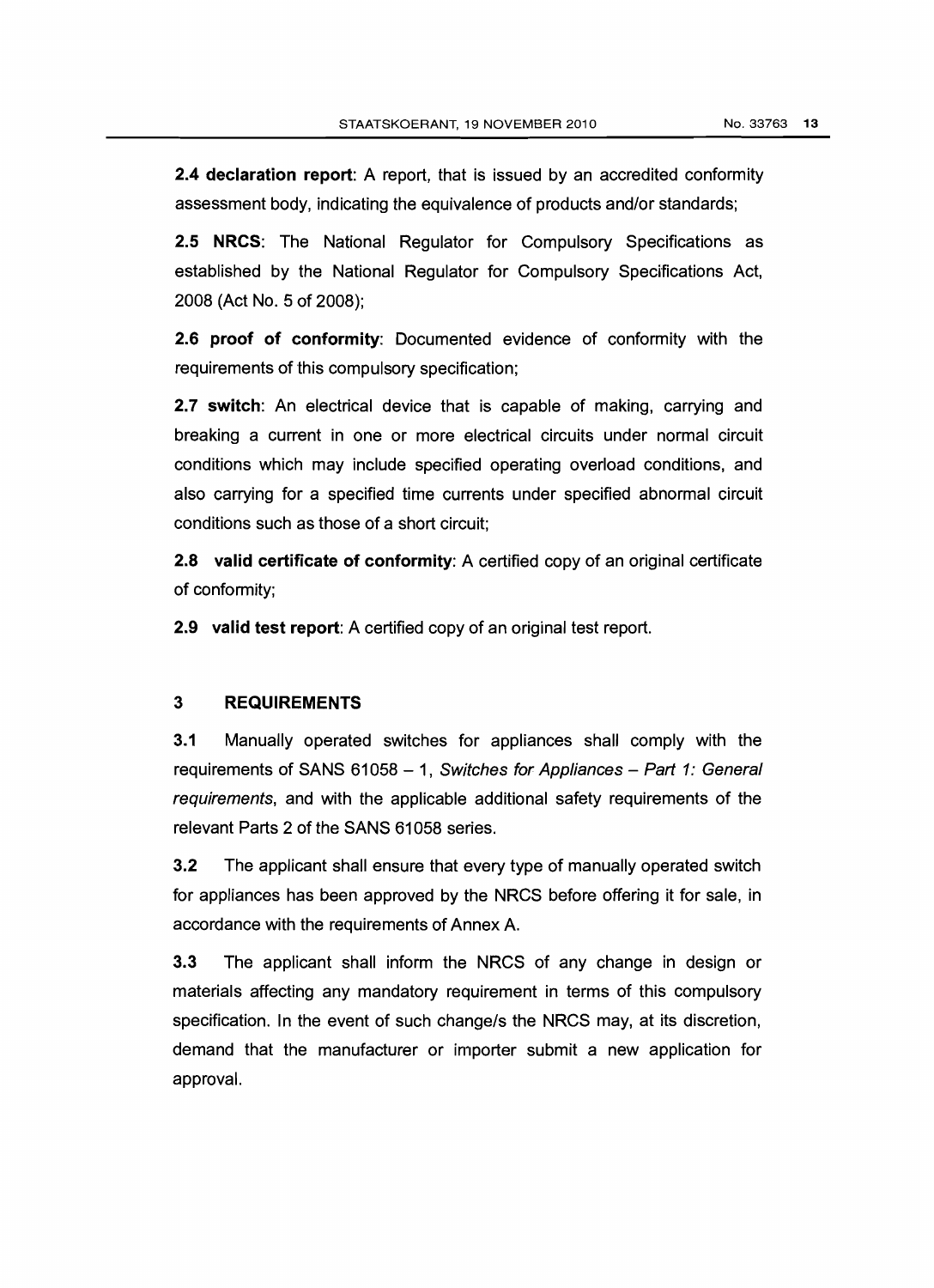**2.4 declaration report:** A report, that is issued by an accredited conformity assessment body, indicating the equivalence of products and/or standards;

2.5 NRCS: The National Regulator for Compulsory Specifications as established by the National Regulator for Compulsory Specifications Act, 2008 (Act NO.5 of 2008);

2.6 proof of conformity: Documented evidence of conformity with the requirements of this compulsory specification;

2.7 switch: An electrical device that is capable of making, carrying and breaking a current in one or more electrical circuits under normal circuit conditions which may include specified operating overload conditions, and also carrying for a specified time currents under specified abnormal circuit conditions such as those of a short circuit;

2.8 valid certificate of conformity: A certified copy of an original certificate of conformity;

**2.9** valid test report: A certified copy of an original test report.

#### 3 REQUIREMENTS

3.1 Manually operated switches for appliances shall comply with the requirements of SANS  $61058 - 1$ , Switches for Appliances - Part 1: General requirements, and with the applicable additional safety requirements of the relevant Parts 2 of the SANS 61058 series.

3.2 The applicant shall ensure that every type of manually operated switch for appliances has been approved by the NRCS before offering it for sale, in accordance with the requirements of Annex A.

3.3 The applicant shall inform the NRCS of any change in design or materials affecting any mandatory requirement in terms of this compulsory specification. In the event of such change/s the NRCS may, at its discretion, demand that the manufacturer or importer submit a new application for approval.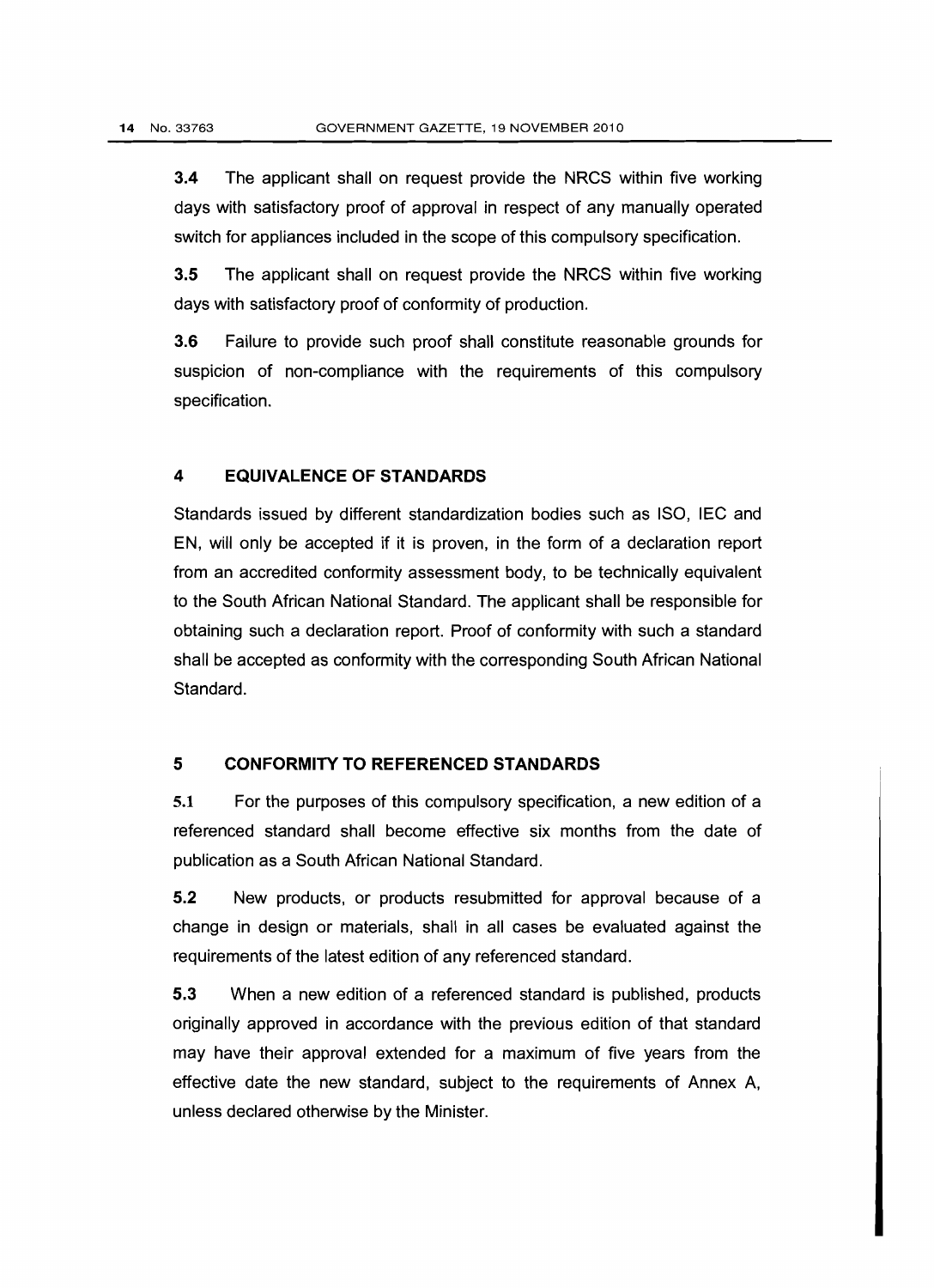3.4 The applicant shall on request provide the NRCS within five working days with satisfactory proof of approval in respect of any manually operated switch for appliances included in the scope of this compulsory specification.

3.5 The applicant shall on request provide the NRCS within five working days with satisfactory proof of conformity of production.

3.6 Failure to provide such proof shall constitute reasonable grounds for suspicion of non-compliance with the requirements of this compulsory specification.

#### **4 EQUIVALENCE OF STANDARDS**

Standards issued by different standardization bodies such as ISO, IEC and EN, will only be accepted if it is proven, in the form of a declaration report from an accredited conformity assessment body, to be technically equivalent to the South African National Standard. The applicant shall be responsible for obtaining such a declaration report. Proof of conformity with such a standard shall be accepted as conformity with the corresponding South African National Standard.

#### **5 CONFORMITY TO REFERENCED STANDARDS**

5.1 For the purposes of this compulsory specification, a new edition of a referenced standard shall become effective six months from the date of publication as a South African National Standard.

5.2 New products, or products resubmitted for approval because of a change in design or materials, shall in all cases be evaluated against the requirements of the latest edition of any referenced standard.

5.3 When a new edition of a referenced standard is published, products originally approved in accordance with the previous edition of that standard may have their approval extended for a maximum of five years from the effective date the new standard, subject to the requirements of Annex A, unless declared otherwise by the Minister.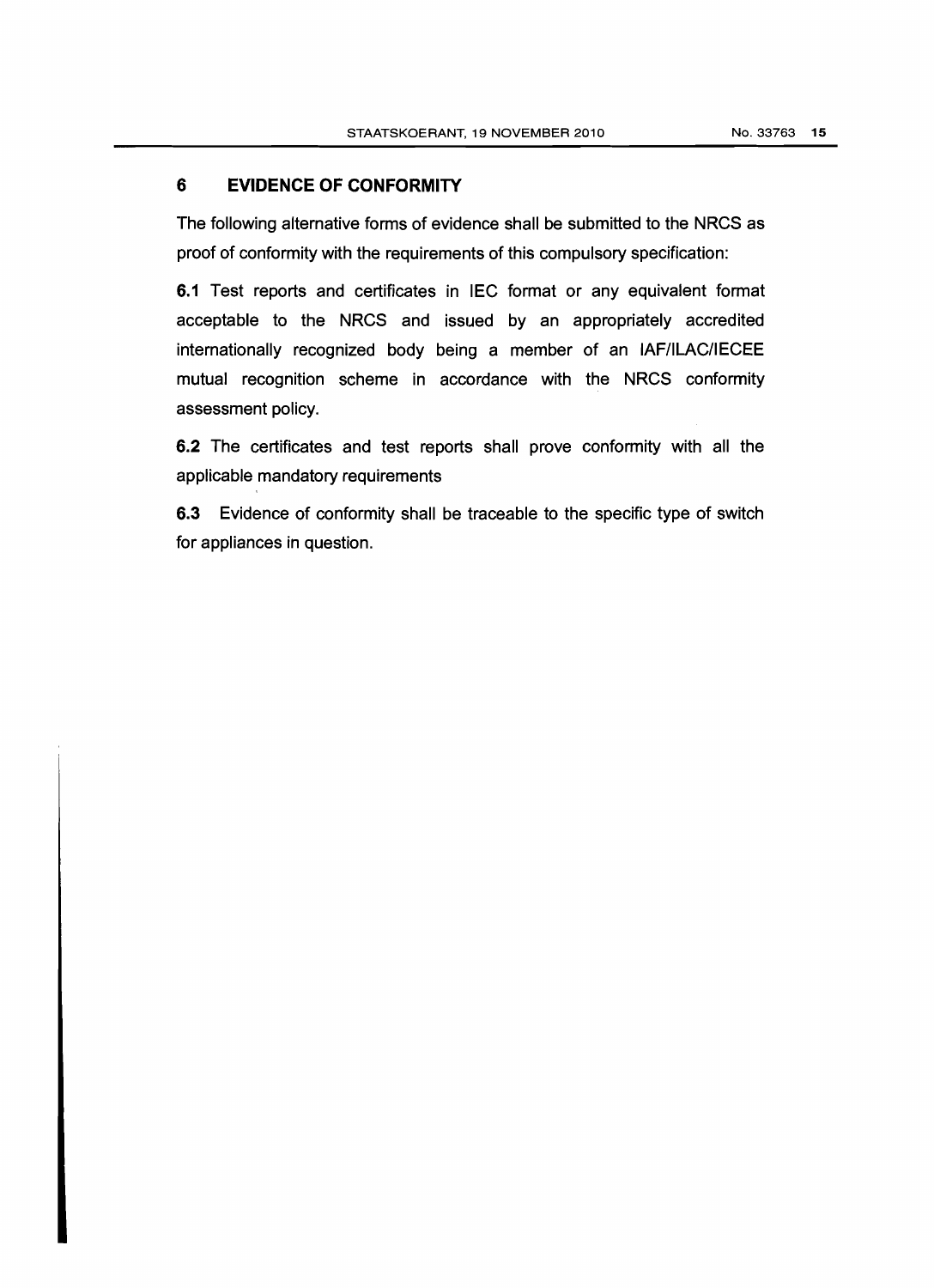## **6 EVIDENCE OF CONFORMITY**

The following alternative forms of evidence shall be submitted to the NRCS as proof of conformity with the requirements of this compulsory specification:

6.1 Test reports and certificates in IEC format or any equivalent format acceptable to the NRCS and issued by an appropriately accredited internationally recognized body being a member of an IAFIlLAC/IECEE mutual recognition scheme in accordance with the NRCS conformity assessment policy.

6.2 The certificates and test reports shall prove conformity with all the applicable mandatory requirements

6.3 Evidence of conformity shall be traceable to the specific type of switch for appliances in question.